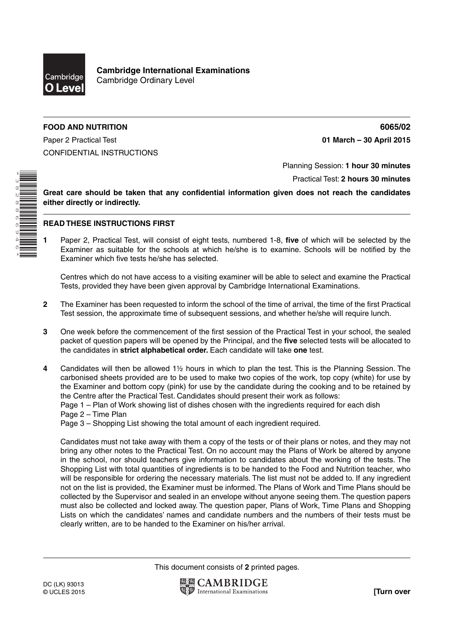

**Cambridge International Examinations** Cambridge Ordinary Level

## **FOOD AND NUTRITION 6065/02**

Paper 2 Practical Test **01 March – 30 April 2015** CONFIDENTIAL INSTRUCTIONS

\*3828866946\*

Planning Session: **1 hour 30 minutes**

Practical Test: **2 hours 30 minutes**

**Great care should be taken that any confidential information given does not reach the candidates either directly or indirectly.**

## **READ THESE INSTRUCTIONS FIRST**

**1** Paper 2, Practical Test, will consist of eight tests, numbered 1-8, **five** of which will be selected by the Examiner as suitable for the schools at which he/she is to examine. Schools will be notified by the Examiner which five tests he/she has selected.

Centres which do not have access to a visiting examiner will be able to select and examine the Practical Tests, provided they have been given approval by Cambridge International Examinations.

- **2** The Examiner has been requested to inform the school of the time of arrival, the time of the first Practical Test session, the approximate time of subsequent sessions, and whether he/she will require lunch.
- **3** One week before the commencement of the first session of the Practical Test in your school, the sealed packet of question papers will be opened by the Principal, and the **five** selected tests will be allocated to the candidates in **strict alphabetical order.** Each candidate will take **one** test.
- **4** Candidates will then be allowed 1½ hours in which to plan the test. This is the Planning Session. The carbonised sheets provided are to be used to make two copies of the work, top copy (white) for use by the Examiner and bottom copy (pink) for use by the candidate during the cooking and to be retained by the Centre after the Practical Test. Candidates should present their work as follows:

Page 1 – Plan of Work showing list of dishes chosen with the ingredients required for each dish

Page 2 – Time Plan

Page 3 – Shopping List showing the total amount of each ingredient required.

Candidates must not take away with them a copy of the tests or of their plans or notes, and they may not bring any other notes to the Practical Test. On no account may the Plans of Work be altered by anyone in the school, nor should teachers give information to candidates about the working of the tests. The Shopping List with total quantities of ingredients is to be handed to the Food and Nutrition teacher, who will be responsible for ordering the necessary materials. The list must not be added to. If any ingredient not on the list is provided, the Examiner must be informed. The Plans of Work and Time Plans should be collected by the Supervisor and sealed in an envelope without anyone seeing them. The question papers must also be collected and locked away. The question paper, Plans of Work, Time Plans and Shopping Lists on which the candidates' names and candidate numbers and the numbers of their tests must be clearly written, are to be handed to the Examiner on his/her arrival.

This document consists of **2** printed pages.